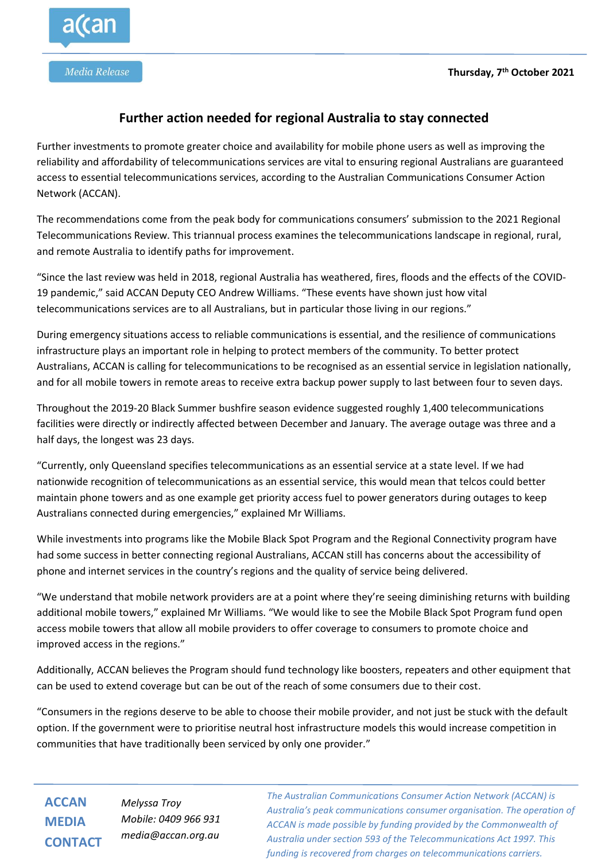

## **Further action needed for regional Australia to stay connected**

Further investments to promote greater choice and availability for mobile phone users as well as improving the reliability and affordability of telecommunications services are vital to ensuring regional Australians are guaranteed access to essential telecommunications services, according to the Australian Communications Consumer Action Network (ACCAN).

The recommendations come from the peak body for communications consumers' submission to the 2021 Regional Telecommunications Review. This triannual process examines the telecommunications landscape in regional, rural, and remote Australia to identify paths for improvement.

"Since the last review was held in 2018, regional Australia has weathered, fires, floods and the effects of the COVID-19 pandemic," said ACCAN Deputy CEO Andrew Williams. "These events have shown just how vital telecommunications services are to all Australians, but in particular those living in our regions."

During emergency situations access to reliable communications is essential, and the resilience of communications infrastructure plays an important role in helping to protect members of the community. To better protect Australians, ACCAN is calling for telecommunications to be recognised as an essential service in legislation nationally, and for all mobile towers in remote areas to receive extra backup power supply to last between four to seven days.

Throughout the 2019-20 Black Summer bushfire season evidence suggested roughly 1,400 telecommunications facilities were directly or indirectly affected between December and January. The average outage was three and a half days, the longest was 23 days.

"Currently, only Queensland specifies telecommunications as an essential service at a state level. If we had nationwide recognition of telecommunications as an essential service, this would mean that telcos could better maintain phone towers and as one example get priority access fuel to power generators during outages to keep Australians connected during emergencies," explained Mr Williams.

While investments into programs like the Mobile Black Spot Program and the Regional Connectivity program have had some success in better connecting regional Australians, ACCAN still has concerns about the accessibility of phone and internet services in the country's regions and the quality of service being delivered.

"We understand that mobile network providers are at a point where they're seeing diminishing returns with building additional mobile towers," explained Mr Williams. "We would like to see the Mobile Black Spot Program fund open access mobile towers that allow all mobile providers to offer coverage to consumers to promote choice and improved access in the regions."

Additionally, ACCAN believes the Program should fund technology like boosters, repeaters and other equipment that can be used to extend coverage but can be out of the reach of some consumers due to their cost.

"Consumers in the regions deserve to be able to choose their mobile provider, and not just be stuck with the default option. If the government were to prioritise neutral host infrastructure models this would increase competition in communities that have traditionally been serviced by only one provider."

**ACCAN MEDIA CONTACT**

*Melyssa Troy Mobile: 0409 966 931 media@accan.org.au*

*The Australian Communications Consumer Action Network (ACCAN) is Australia's peak communications consumer organisation. The operation of ACCAN is made possible by funding provided by the Commonwealth of Australia under section 593 of the Telecommunications Act 1997. This funding is recovered from charges on telecommunications carriers.*